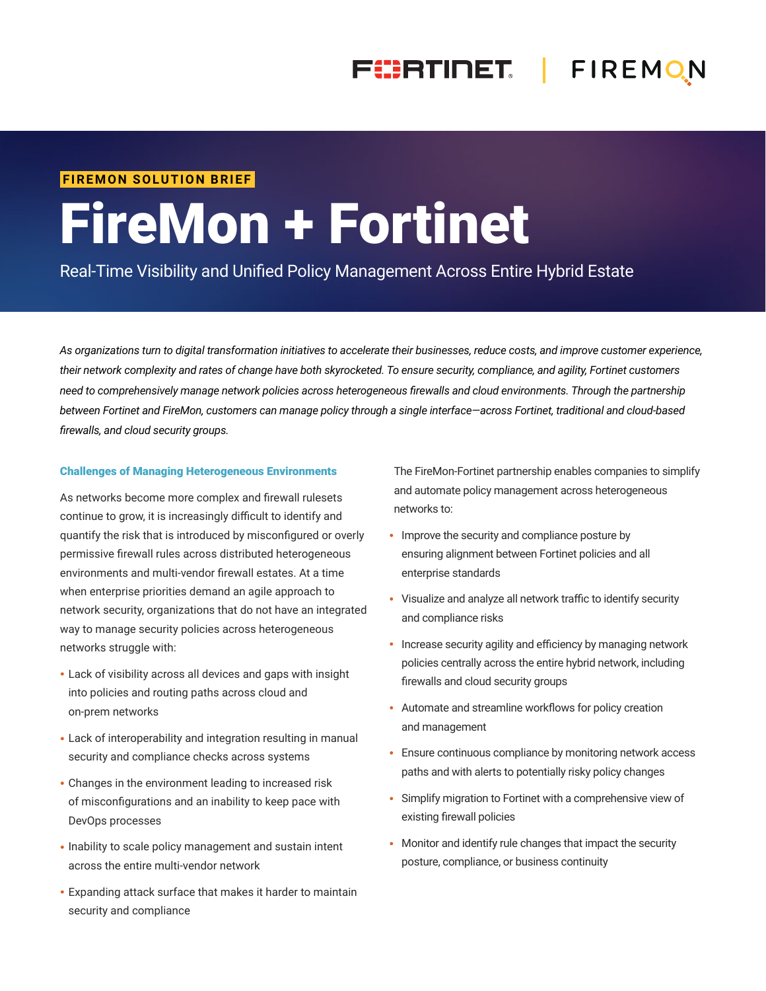## FIERTINET. | FIREMON

#### **FIREMON SOLUTION BRIEF**

# FireMon + Fortinet

Real-Time Visibility and Unified Policy Management Across Entire Hybrid Estate

*As organizations turn to digital transformation initiatives to accelerate their businesses, reduce costs, and improve customer experience, their network complexity and rates of change have both skyrocketed. To ensure security, compliance, and agility, Fortinet customers need to comprehensively manage network policies across heterogeneous firewalls and cloud environments. Through the partnership between Fortinet and FireMon, customers can manage policy through a single interface—across Fortinet, traditional and cloud-based firewalls, and cloud security groups.*

#### Challenges of Managing Heterogeneous Environments

As networks become more complex and firewall rulesets continue to grow, it is increasingly difficult to identify and quantify the risk that is introduced by misconfigured or overly permissive firewall rules across distributed heterogeneous environments and multi-vendor firewall estates. At a time when enterprise priorities demand an agile approach to network security, organizations that do not have an integrated way to manage security policies across heterogeneous networks struggle with:

- Lack of visibility across all devices and gaps with insight into policies and routing paths across cloud and on-prem networks
- Lack of interoperability and integration resulting in manual security and compliance checks across systems
- Changes in the environment leading to increased risk of misconfigurations and an inability to keep pace with DevOps processes
- Inability to scale policy management and sustain intent across the entire multi-vendor network
- Expanding attack surface that makes it harder to maintain security and compliance

The FireMon-Fortinet partnership enables companies to simplify and automate policy management across heterogeneous networks to:

- Improve the security and compliance posture by ensuring alignment between Fortinet policies and all enterprise standards
- Visualize and analyze all network traffic to identify security and compliance risks
- Increase security agility and efficiency by managing network policies centrally across the entire hybrid network, including firewalls and cloud security groups
- Automate and streamline workflows for policy creation and management
- Ensure continuous compliance by monitoring network access paths and with alerts to potentially risky policy changes
- Simplify migration to Fortinet with a comprehensive view of existing firewall policies
- Monitor and identify rule changes that impact the security posture, compliance, or business continuity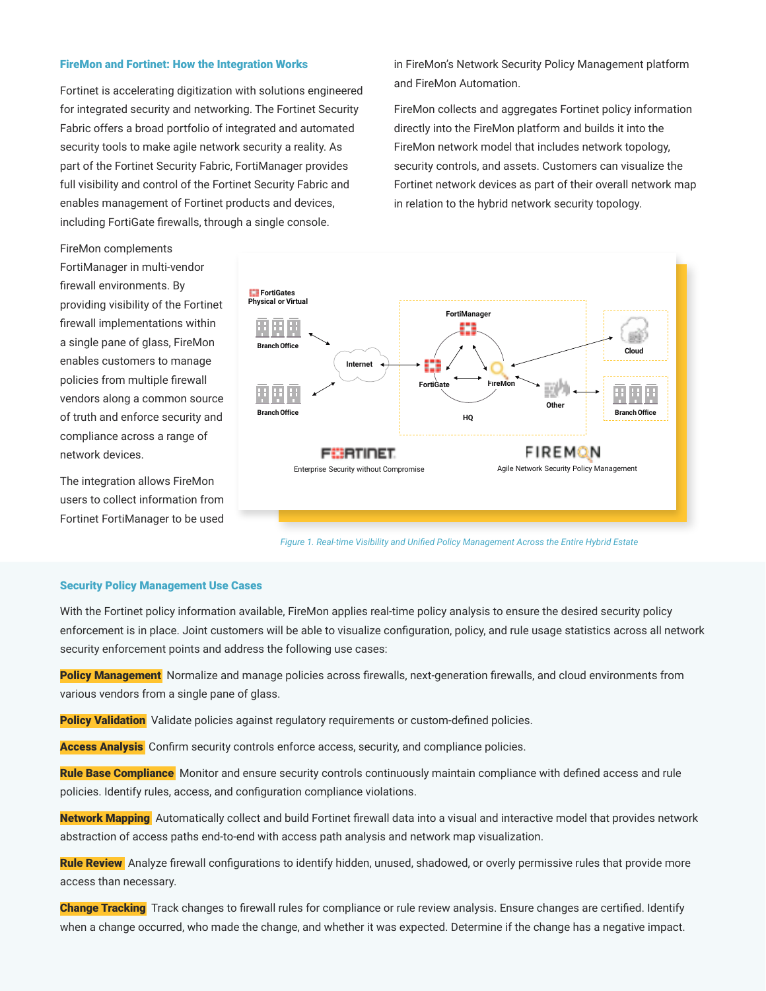#### FireMon and Fortinet: How the Integration Works

Fortinet is accelerating digitization with solutions engineered for integrated security and networking. The Fortinet Security Fabric offers a broad portfolio of integrated and automated security tools to make agile network security a reality. As part of the Fortinet Security Fabric, FortiManager provides full visibility and control of the Fortinet Security Fabric and enables management of Fortinet products and devices, including FortiGate firewalls, through a single console.

in FireMon's Network Security Policy Management platform and FireMon Automation.

FireMon collects and aggregates Fortinet policy information directly into the FireMon platform and builds it into the FireMon network model that includes network topology, security controls, and assets. Customers can visualize the Fortinet network devices as part of their overall network map in relation to the hybrid network security topology.



The integration allows FireMon users to collect information from Fortinet FortiManager to be used



*Figure 1. Real-time Visibility and Unified Policy Management Across the Entire Hybrid Estate*

#### Security Policy Management Use Cases

With the Fortinet policy information available, FireMon applies real-time policy analysis to ensure the desired security policy enforcement is in place. Joint customers will be able to visualize configuration, policy, and rule usage statistics across all network security enforcement points and address the following use cases:

Policy Management Normalize and manage policies across firewalls, next-generation firewalls, and cloud environments from various vendors from a single pane of glass.

**Policy Validation** Validate policies against regulatory requirements or custom-defined policies.

Access **Analysis** Confirm security controls enforce access, security, and compliance policies.

Rule Base Compliance Monitor and ensure security controls continuously maintain compliance with defined access and rule policies. Identify rules, access, and configuration compliance violations.

Network Mapping Automatically collect and build Fortinet firewall data into a visual and interactive model that provides network abstraction of access paths end-to-end with access path analysis and network map visualization.

Rule Review Analyze firewall configurations to identify hidden, unused, shadowed, or overly permissive rules that provide more access than necessary.

Change Tracking Track changes to firewall rules for compliance or rule review analysis. Ensure changes are certified. Identify when a change occurred, who made the change, and whether it was expected. Determine if the change has a negative impact.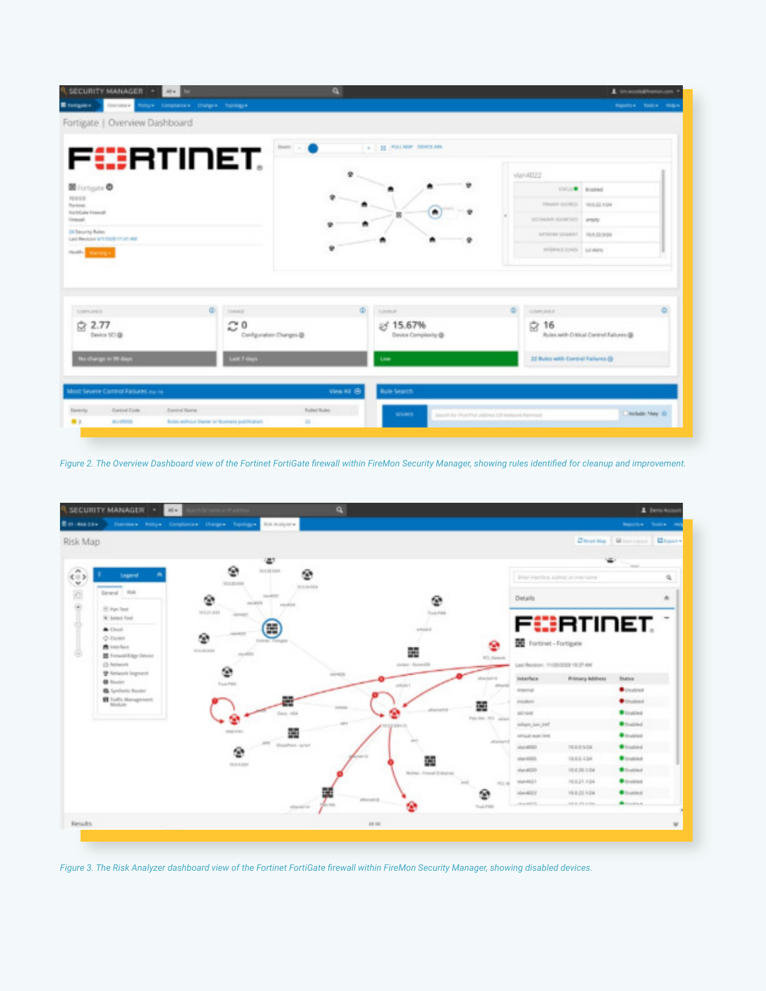|                                                                                                                                                                        | ۹                                     |                                                                 | 1 International Pressure com-                      |
|------------------------------------------------------------------------------------------------------------------------------------------------------------------------|---------------------------------------|-----------------------------------------------------------------|----------------------------------------------------|
| <b>E</b> tompers<br>Palicy Completors Changes Transition<br>Fortigate   Overview Dashboard                                                                             |                                       |                                                                 | Reports 4 - Tools 4 - Help's                       |
|                                                                                                                                                                        |                                       |                                                                 |                                                    |
| FC:RTINET.                                                                                                                                                             | Been                                  | A 19 SE CRUIT BANK DEVELOPED                                    |                                                    |
|                                                                                                                                                                        |                                       |                                                                 | vlan4022                                           |
| <b>M</b> Fortigate <sup>O</sup><br>10043                                                                                                                               |                                       |                                                                 | <b>USING Bradled</b>                               |
| For time).<br><b>Rockfuste Forestill</b>                                                                                                                               |                                       | $\blacksquare$                                                  | PRODUCT ULTIMATE 1 VEHICLE KIDA                    |
| Firewall                                                                                                                                                               |                                       | m                                                               | SECREAR ADDITIONS   AMMY                           |
| 34 Security Rules<br>Last Revision 6/1/2020 11:41 and                                                                                                                  |                                       | ÷                                                               | NETWORK SENATOR - 1858-22-9/24                     |
| Holds annuals                                                                                                                                                          | ٠                                     |                                                                 | evidence at the Control of the                     |
|                                                                                                                                                                        |                                       |                                                                 |                                                    |
| œ.                                                                                                                                                                     | <b>DWALE</b>                          | $\circ$<br>$\circ$<br><b>TURNER</b>                             | ESMITORIES                                         |
| 2.77<br>Device SCI @                                                                                                                                                   | c٥<br>Configuration Changes @         | £ 15.67%<br>Device Complexity @                                 | Ġ<br>16<br>Rules with Critical Control Falseys (B) |
| EXHIPS JUNE 11<br>í2<br>No change in 90 days                                                                                                                           | <b>Cast 7 days</b>                    | <b>Line</b>                                                     | 22 Bules with Control Failures (B)                 |
|                                                                                                                                                                        |                                       |                                                                 |                                                    |
|                                                                                                                                                                        | View All ®                            | <b>Rule Search</b>                                              |                                                    |
| Most Severe Control Failures nu ra<br><b>Control Code</b><br><b>Control Nation</b><br>Envertis<br>■Ⅱ<br><b>ALLINOIS</b><br>Rules without Duner or Business publication | <b>Tulled Rober</b><br>$\overline{a}$ | <b>MAINEE</b><br>Jacob for Perinted address Of National Address | <b>Backups: Naty 10</b>                            |

*Figure 2. The Overview Dashboard view of the Fortinet FortiGate firewall within FireMon Security Manager, showing rules identified for cleanup and improvement.*



*Figure 3. The Risk Analyzer dashboard view of the Fortinet FortiGate firewall within FireMon Security Manager, showing disabled devices.*